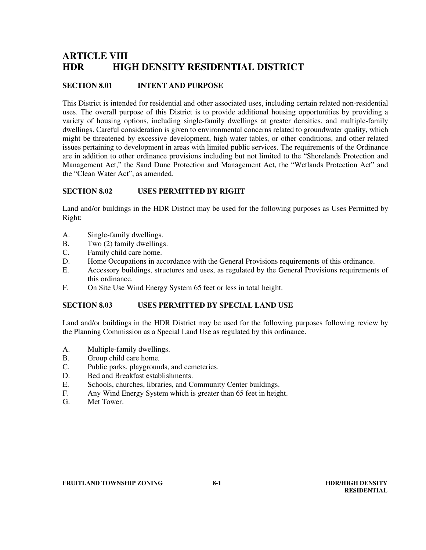# **ARTICLE VIII HDR HIGH DENSITY RESIDENTIAL DISTRICT**

# **SECTION 8.01 INTENT AND PURPOSE**

This District is intended for residential and other associated uses, including certain related non-residential uses. The overall purpose of this District is to provide additional housing opportunities by providing a variety of housing options, including single-family dwellings at greater densities, and multiple-family dwellings. Careful consideration is given to environmental concerns related to groundwater quality, which might be threatened by excessive development, high water tables, or other conditions, and other related issues pertaining to development in areas with limited public services. The requirements of the Ordinance are in addition to other ordinance provisions including but not limited to the "Shorelands Protection and Management Act," the Sand Dune Protection and Management Act, the "Wetlands Protection Act" and the "Clean Water Act", as amended.

### **SECTION 8.02 USES PERMITTED BY RIGHT**

Land and/or buildings in the HDR District may be used for the following purposes as Uses Permitted by Right:

- A. Single-family dwellings.
- B. Two (2) family dwellings.<br>C. Family child care home.
- Family child care home.
- D. Home Occupations in accordance with the General Provisions requirements of this ordinance.
- E. Accessory buildings, structures and uses, as regulated by the General Provisions requirements of this ordinance.
- F. On Site Use Wind Energy System 65 feet or less in total height.

#### **SECTION 8.03 USES PERMITTED BY SPECIAL LAND USE**

Land and/or buildings in the HDR District may be used for the following purposes following review by the Planning Commission as a Special Land Use as regulated by this ordinance.

- A. Multiple-family dwellings.
- B. Group child care home*.*
- C. Public parks, playgrounds, and cemeteries.
- D. Bed and Breakfast establishments.
- E. Schools, churches, libraries, and Community Center buildings.
- F. Any Wind Energy System which is greater than 65 feet in height.
- G. Met Tower.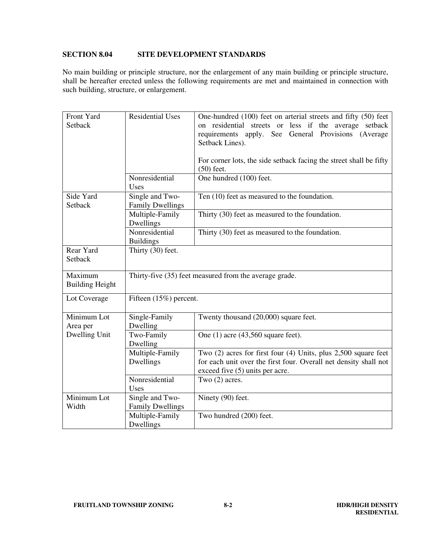# **SECTION 8.04 SITE DEVELOPMENT STANDARDS**

No main building or principle structure, nor the enlargement of any main building or principle structure, shall be hereafter erected unless the following requirements are met and maintained in connection with such building, structure, or enlargement.

| Front Yard<br>Setback             | <b>Residential Uses</b>                                | One-hundred (100) feet on arterial streets and fifty (50) feet<br>on residential streets or less if the average setback<br>requirements apply. See General Provisions (Average<br>Setback Lines).<br>For corner lots, the side setback facing the street shall be fifty<br>$(50)$ feet. |  |
|-----------------------------------|--------------------------------------------------------|-----------------------------------------------------------------------------------------------------------------------------------------------------------------------------------------------------------------------------------------------------------------------------------------|--|
|                                   | Nonresidential<br>Uses                                 | One hundred (100) feet.                                                                                                                                                                                                                                                                 |  |
| Side Yard<br>Setback              | Single and Two-<br><b>Family Dwellings</b>             | Ten (10) feet as measured to the foundation.                                                                                                                                                                                                                                            |  |
|                                   | Multiple-Family<br>Dwellings                           | Thirty (30) feet as measured to the foundation.                                                                                                                                                                                                                                         |  |
|                                   | Nonresidential<br><b>Buildings</b>                     | Thirty (30) feet as measured to the foundation.                                                                                                                                                                                                                                         |  |
| Rear Yard<br>Setback              | Thirty (30) feet.                                      |                                                                                                                                                                                                                                                                                         |  |
| Maximum<br><b>Building Height</b> | Thirty-five (35) feet measured from the average grade. |                                                                                                                                                                                                                                                                                         |  |
| Lot Coverage                      | Fifteen (15%) percent.                                 |                                                                                                                                                                                                                                                                                         |  |
| Minimum Lot<br>Area per           | Single-Family<br>Dwelling                              | Twenty thousand (20,000) square feet.                                                                                                                                                                                                                                                   |  |
| Dwelling Unit                     | Two-Family<br>Dwelling                                 | One $(1)$ acre $(43,560)$ square feet).                                                                                                                                                                                                                                                 |  |
|                                   | Multiple-Family<br>Dwellings                           | Two $(2)$ acres for first four $(4)$ Units, plus 2,500 square feet<br>for each unit over the first four. Overall net density shall not<br>exceed five (5) units per acre.                                                                                                               |  |
|                                   | Nonresidential<br>Uses                                 | Two $(2)$ acres.                                                                                                                                                                                                                                                                        |  |
| Minimum Lot<br>Width              | Single and Two-<br><b>Family Dwellings</b>             | Ninety (90) feet.                                                                                                                                                                                                                                                                       |  |
|                                   | Multiple-Family<br>Dwellings                           | Two hundred (200) feet.                                                                                                                                                                                                                                                                 |  |